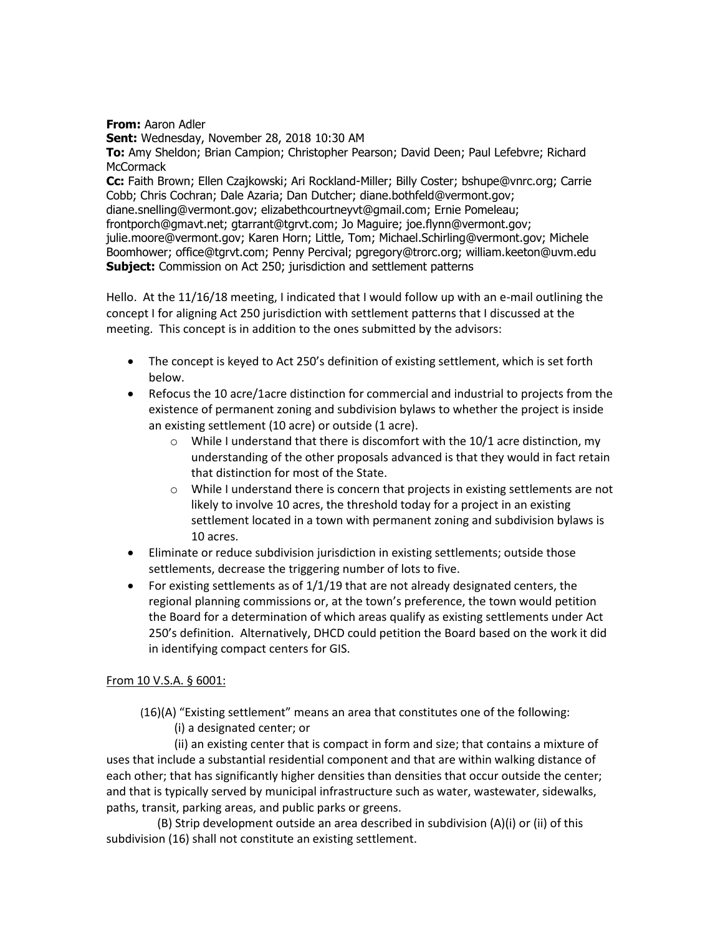**From:** Aaron Adler **Sent:** Wednesday, November 28, 2018 10:30 AM **To:** Amy Sheldon; Brian Campion; Christopher Pearson; David Deen; Paul Lefebvre; Richard **McCormack Cc:** Faith Brown; Ellen Czajkowski; Ari Rockland-Miller; Billy Coster; bshupe@vnrc.org; Carrie Cobb; Chris Cochran; Dale Azaria; Dan Dutcher; diane.bothfeld@vermont.gov; diane.snelling@vermont.gov; elizabethcourtneyvt@gmail.com; Ernie Pomeleau; frontporch@gmavt.net; gtarrant@tgrvt.com; Jo Maguire; joe.flynn@vermont.gov; julie.moore@vermont.gov; Karen Horn; Little, Tom; Michael.Schirling@vermont.gov; Michele Boomhower; office@tgrvt.com; Penny Percival; pgregory@trorc.org; william.keeton@uvm.edu **Subject:** Commission on Act 250; jurisdiction and settlement patterns

Hello. At the 11/16/18 meeting, I indicated that I would follow up with an e-mail outlining the concept I for aligning Act 250 jurisdiction with settlement patterns that I discussed at the meeting. This concept is in addition to the ones submitted by the advisors:

- The concept is keyed to Act 250's definition of existing settlement, which is set forth below.
- Refocus the 10 acre/1acre distinction for commercial and industrial to projects from the existence of permanent zoning and subdivision bylaws to whether the project is inside an existing settlement (10 acre) or outside (1 acre).
	- o While I understand that there is discomfort with the 10/1 acre distinction, my understanding of the other proposals advanced is that they would in fact retain that distinction for most of the State.
	- $\circ$  While I understand there is concern that projects in existing settlements are not likely to involve 10 acres, the threshold today for a project in an existing settlement located in a town with permanent zoning and subdivision bylaws is 10 acres.
- Eliminate or reduce subdivision jurisdiction in existing settlements; outside those settlements, decrease the triggering number of lots to five.
- For existing settlements as of  $1/1/19$  that are not already designated centers, the regional planning commissions or, at the town's preference, the town would petition the Board for a determination of which areas qualify as existing settlements under Act 250's definition. Alternatively, DHCD could petition the Board based on the work it did in identifying compact centers for GIS.

## From 10 V.S.A. § 6001:

(16)(A) "Existing settlement" means an area that constitutes one of the following:

(i) a designated center; or

(ii) an existing center that is compact in form and size; that contains a mixture of uses that include a substantial residential component and that are within walking distance of each other; that has significantly higher densities than densities that occur outside the center; and that is typically served by municipal infrastructure such as water, wastewater, sidewalks, paths, transit, parking areas, and public parks or greens.

(B) Strip development outside an area described in subdivision (A)(i) or (ii) of this subdivision (16) shall not constitute an existing settlement.